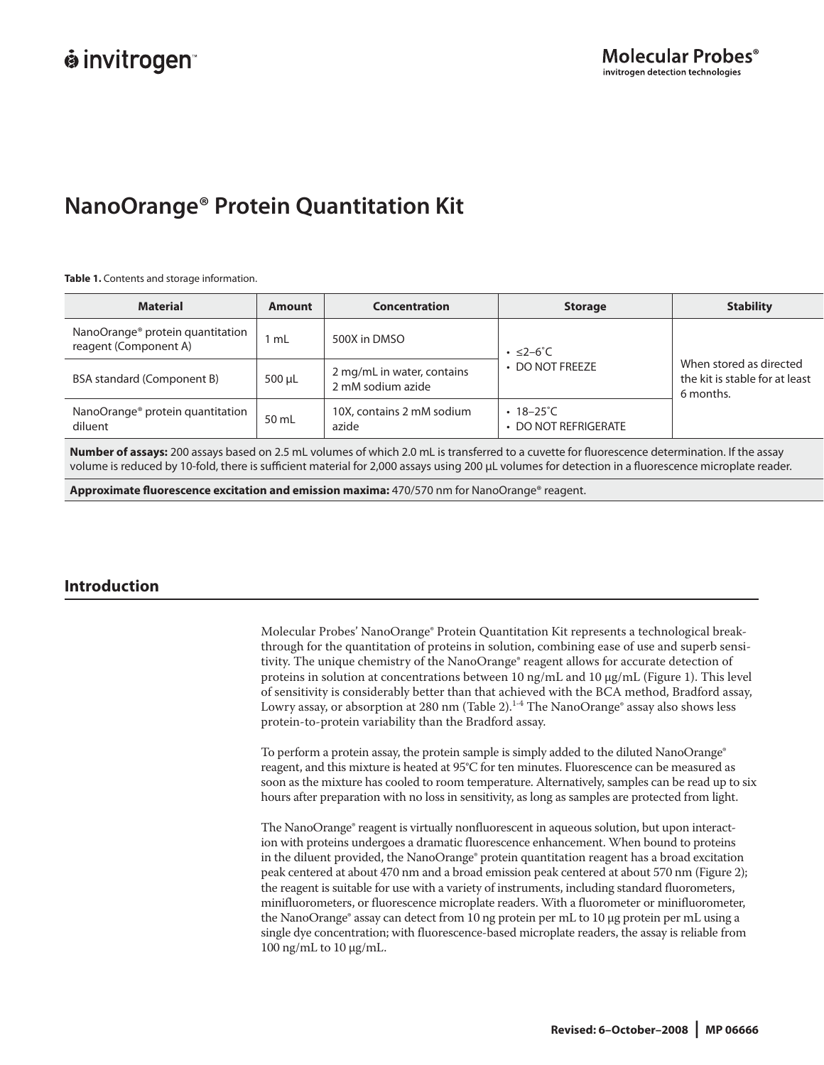# **NanoOrange® Protein Quantitation Kit**

**Table 1.** Contents and storage information.

| <b>Material</b>                                                       | Amount | <b>Concentration</b>                            | <b>Storage</b>                          | <b>Stability</b>                                                       |  |
|-----------------------------------------------------------------------|--------|-------------------------------------------------|-----------------------------------------|------------------------------------------------------------------------|--|
| NanoOrange <sup>®</sup> protein quantitation<br>reagent (Component A) | l mL   | 500X in DMSO                                    | $\cdot$ $\leq$ 2-6°C                    |                                                                        |  |
| BSA standard (Component B)                                            | 500 µL | 2 mg/mL in water, contains<br>2 mM sodium azide | • DO NOT FREEZE                         | When stored as directed<br>the kit is stable for at least<br>6 months. |  |
| NanoOrange <sup>®</sup> protein quantitation<br>diluent               | 50 mL  | 10X, contains 2 mM sodium<br>azide              | $\cdot$ 18-25°C<br>• DO NOT REFRIGERATE |                                                                        |  |

Number of assays: 200 assays based on 2.5 mL volumes of which 2.0 mL is transferred to a cuvette for fluorescence determination. If the assay volume is reduced by 10-fold, there is sufficient material for 2,000 assays using 200 μL volumes for detection in a fluorescence microplate reader.

**Approximate fl uorescence excitation and emission maxima:** 470/570 nm for NanoOrange® reagent.

# **Introduction**

Molecular Probes' NanoOrange® Protein Quantitation Kit represents a technological breakthrough for the quantitation of proteins in solution, combining ease of use and superb sensitivity. The unique chemistry of the NanoOrange® reagent allows for accurate detection of proteins in solution at concentrations between 10 ng/mL and 10  $\mu$ g/mL (Figure 1). This level of sensitivity is considerably better than that achieved with the BCA method, Bradford assay, Lowry assay, or absorption at 280 nm (Table 2). $^{1.4}$  The NanoOrange® assay also shows less protein-to-protein variability than the Bradford assay.

To perform a protein assay, the protein sample is simply added to the diluted NanoOrange® reagent, and this mixture is heated at 95°C for ten minutes. Fluorescence can be measured as soon as the mixture has cooled to room temperature. Alternatively, samples can be read up to six hours after preparation with no loss in sensitivity, as long as samples are protected from light.

The NanoOrange® reagent is virtually nonfluorescent in aqueous solution, but upon interaction with proteins undergoes a dramatic fluorescence enhancement. When bound to proteins in the diluent provided, the NanoOrange® protein quantitation reagent has a broad excitation peak centered at about 470 nm and a broad emission peak centered at about 570 nm (Figure 2); the reagent is suitable for use with a variety of instruments, including standard fluorometers, minifluorometers, or fluorescence microplate readers. With a fluorometer or minifluorometer, the NanoOrange® assay can detect from 10 ng protein per mL to 10 µg protein per mL using a single dye concentration; with fluorescence-based microplate readers, the assay is reliable from 100 ng/mL to 10 µg/mL.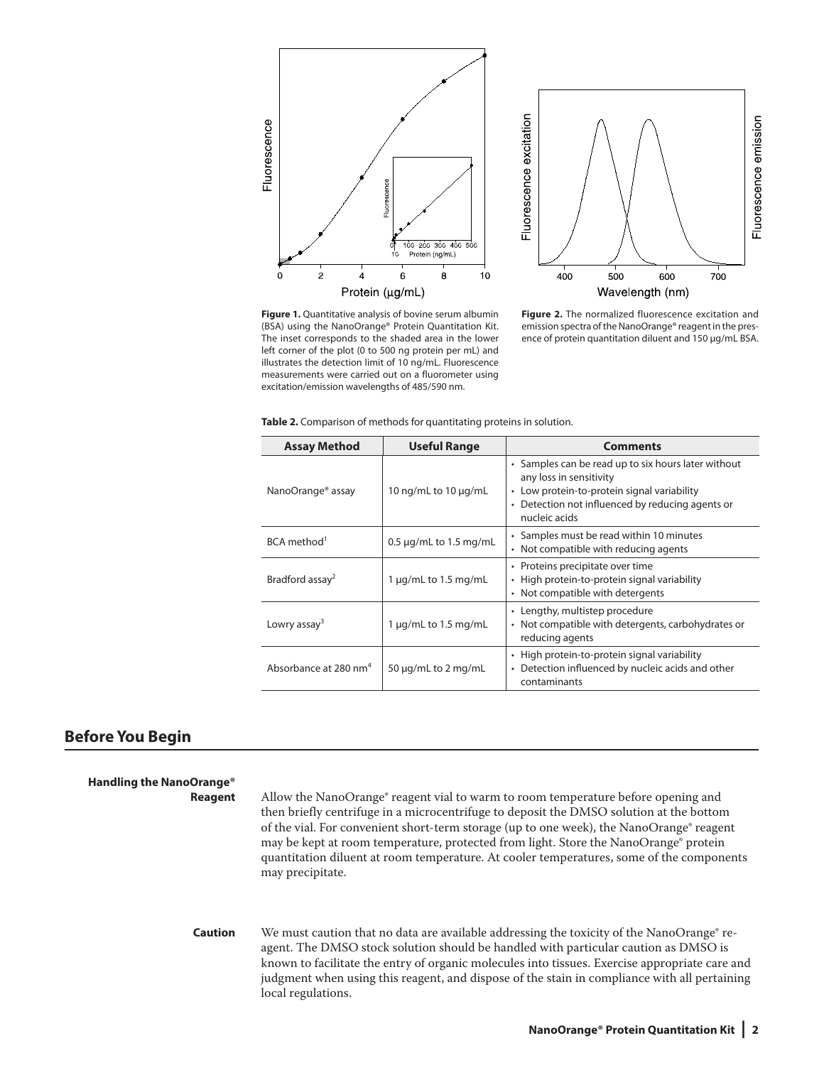



**Figure 1.** Quantitative analysis of bovine serum albumin (BSA) using the NanoOrange® Protein Quantitation Kit. The inset corresponds to the shaded area in the lower left corner of the plot (0 to 500 ng protein per mL) and illustrates the detection limit of 10 ng/mL. Fluorescence measurements were carried out on a fluorometer using excitation/emission wavelengths of 485/590 nm.

**Figure 2.** The normalized fluorescence excitation and emission spectra of the NanoOrange® reagent in the presence of protein quantitation diluent and 150 μg/mL BSA.

|  | Table 2. Comparison of methods for quantitating proteins in solution. |  |  |  |
|--|-----------------------------------------------------------------------|--|--|--|
|--|-----------------------------------------------------------------------|--|--|--|

| <b>Assay Method</b>               | <b>Useful Range</b>         | <b>Comments</b>                                                                                                                                                                                    |
|-----------------------------------|-----------------------------|----------------------------------------------------------------------------------------------------------------------------------------------------------------------------------------------------|
| NanoOrange® assay                 | 10 ng/mL to 10 µg/mL        | • Samples can be read up to six hours later without<br>any loss in sensitivity<br>• Low protein-to-protein signal variability<br>• Detection not influenced by reducing agents or<br>nucleic acids |
| BCA method <sup>1</sup>           | $0.5 \mu$ g/mL to 1.5 mg/mL | • Samples must be read within 10 minutes<br>• Not compatible with reducing agents                                                                                                                  |
| Bradford assay <sup>2</sup>       | 1 $\mu$ g/mL to 1.5 mg/mL   | • Proteins precipitate over time<br>• High protein-to-protein signal variability<br>• Not compatible with detergents                                                                               |
| Lowry assay <sup>3</sup>          | 1 $\mu$ g/mL to 1.5 mg/mL   | • Lengthy, multistep procedure<br>• Not compatible with detergents, carbohydrates or<br>reducing agents                                                                                            |
| Absorbance at 280 nm <sup>4</sup> | 50 $\mu$ g/mL to 2 mg/mL    | • High protein-to-protein signal variability<br>• Detection influenced by nucleic acids and other<br>contaminants                                                                                  |

## **Before You Begin**

**Handling the NanoOrange® Reagent** Allow the NanoOrange® reagent vial to warm to room temperature before opening and then briefly centrifuge in a microcentrifuge to deposit the DMSO solution at the bottom of the vial. For convenient short-term storage (up to one week), the NanoOrange® reagent may be kept at room temperature, protected from light. Store the NanoOrange® protein quantitation diluent at room temperature. At cooler temperatures, some of the components may precipitate. **Caution** We must caution that no data are available addressing the toxicity of the NanoOrange® reagent. The DMSO stock solution should be handled with particular caution as DMSO is known to facilitate the entry of organic molecules into tissues. Exercise appropriate care and judgment when using this reagent, and dispose of the stain in compliance with all pertaining local regulations.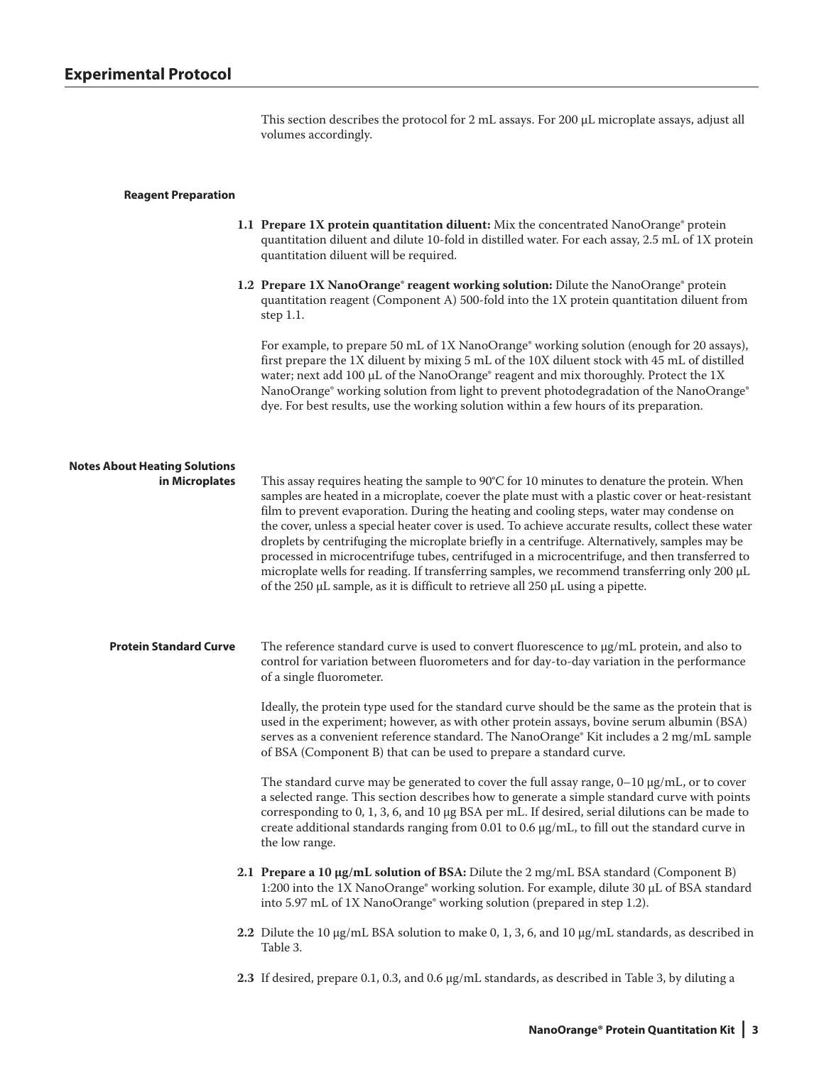This section describes the protocol for 2 mL assays. For 200 µL microplate assays, adjust all volumes accordingly.

## **Reagent Preparation**

- **1.1 Prepare 1X protein quantitation diluent:** Mix the concentrated NanoOrange® protein quantitation diluent and dilute 10-fold in distilled water. For each assay, 2.5 mL of 1X protein quantitation diluent will be required.
- **1.2 Prepare 1X NanoOrange® reagent working solution:** Dilute the NanoOrange® protein quantitation reagent (Component A) 500-fold into the 1X protein quantitation diluent from step 1.1.

For example, to prepare 50 mL of 1X NanoOrange® working solution (enough for 20 assays), first prepare the 1X diluent by mixing 5 mL of the 10X diluent stock with 45 mL of distilled water; next add 100 µL of the NanoOrange® reagent and mix thoroughly. Protect the 1X NanoOrange® working solution from light to prevent photodegradation of the NanoOrange® dye. For best results, use the working solution within a few hours of its preparation.

| <b>Notes About Heating Solutions</b><br>in Microplates | This assay requires heating the sample to $90^{\circ}$ C for 10 minutes to denature the protein. When<br>samples are heated in a microplate, coever the plate must with a plastic cover or heat-resistant<br>film to prevent evaporation. During the heating and cooling steps, water may condense on<br>the cover, unless a special heater cover is used. To achieve accurate results, collect these water<br>droplets by centrifuging the microplate briefly in a centrifuge. Alternatively, samples may be<br>processed in microcentrifuge tubes, centrifuged in a microcentrifuge, and then transferred to<br>microplate wells for reading. If transferring samples, we recommend transferring only 200 µL<br>of the $250 \mu L$ sample, as it is difficult to retrieve all $250 \mu L$ using a pipette. |
|--------------------------------------------------------|--------------------------------------------------------------------------------------------------------------------------------------------------------------------------------------------------------------------------------------------------------------------------------------------------------------------------------------------------------------------------------------------------------------------------------------------------------------------------------------------------------------------------------------------------------------------------------------------------------------------------------------------------------------------------------------------------------------------------------------------------------------------------------------------------------------|
| <b>Protein Standard Curve</b>                          | The reference standard curve is used to convert fluorescence to $\mu$ g/mL protein, and also to<br>control for variation between fluorometers and for day-to-day variation in the performance<br>of a single fluorometer.                                                                                                                                                                                                                                                                                                                                                                                                                                                                                                                                                                                    |
|                                                        | Ideally, the protein type used for the standard curve should be the same as the protein that is<br>used in the experiment; however, as with other protein assays, bovine serum albumin (BSA)<br>serves as a convenient reference standard. The NanoOrange® Kit includes a 2 mg/mL sample<br>of BSA (Component B) that can be used to prepare a standard curve.                                                                                                                                                                                                                                                                                                                                                                                                                                               |
|                                                        | The standard curve may be generated to cover the full assay range, $0-10 \mu g/mL$ , or to cover<br>a selected range. This section describes how to generate a simple standard curve with points<br>corresponding to 0, 1, 3, 6, and 10 $\mu$ g BSA per mL. If desired, serial dilutions can be made to<br>create additional standards ranging from 0.01 to 0.6 $\mu$ g/mL, to fill out the standard curve in<br>the low range.                                                                                                                                                                                                                                                                                                                                                                              |
|                                                        | 2.1 Prepare a 10 µg/mL solution of BSA: Dilute the 2 mg/mL BSA standard (Component B)<br>1:200 into the 1X NanoOrange® working solution. For example, dilute 30 µL of BSA standard<br>into 5.97 mL of 1X NanoOrange <sup>®</sup> working solution (prepared in step 1.2).                                                                                                                                                                                                                                                                                                                                                                                                                                                                                                                                    |
|                                                        | 2.2 Dilute the 10 $\mu$ g/mL BSA solution to make 0, 1, 3, 6, and 10 $\mu$ g/mL standards, as described in<br>Table 3.                                                                                                                                                                                                                                                                                                                                                                                                                                                                                                                                                                                                                                                                                       |
|                                                        | 2.3 If desired, prepare 0.1, 0.3, and 0.6 $\mu$ g/mL standards, as described in Table 3, by diluting a                                                                                                                                                                                                                                                                                                                                                                                                                                                                                                                                                                                                                                                                                                       |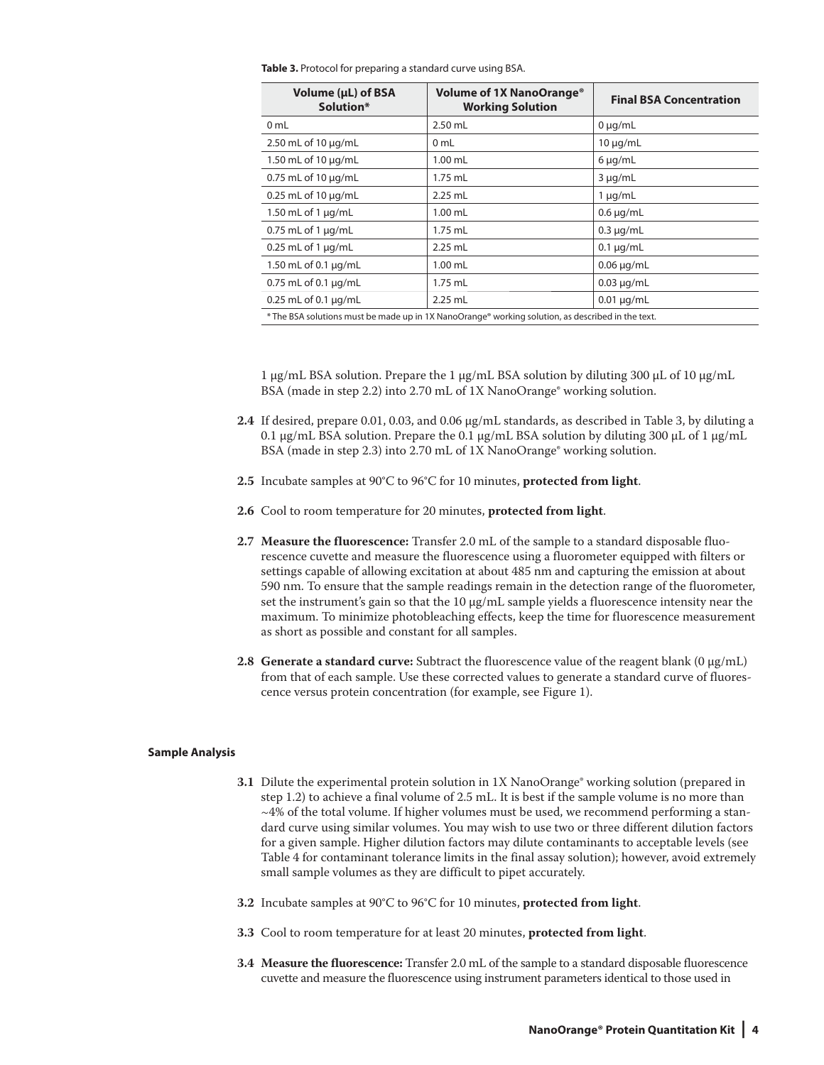**Table 3.** Protocol for preparing a standard curve using BSA.

| Volume (µL) of BSA<br>Solution*                                                                   | Volume of 1X NanoOrange <sup>®</sup><br><b>Working Solution</b> | <b>Final BSA Concentration</b> |  |
|---------------------------------------------------------------------------------------------------|-----------------------------------------------------------------|--------------------------------|--|
| 0 <sub>mL</sub>                                                                                   | $2.50$ mL                                                       | $0 \mu q/mL$                   |  |
| 2.50 mL of 10 $\mu$ g/mL                                                                          | 0 mL                                                            | $10 \mu q/mL$                  |  |
| 1.50 mL of 10 µg/mL                                                                               | $1.00$ mL                                                       | $6 \mu g/mL$                   |  |
| $0.75$ mL of 10 $\mu$ g/mL                                                                        | $1.75$ mL                                                       | $3 \mu q/mL$                   |  |
| $0.25$ mL of 10 $\mu$ g/mL                                                                        | $2.25$ mL                                                       | $1 \mu q/mL$                   |  |
| 1.50 mL of 1 $\mu$ g/mL                                                                           | $1.00$ mL                                                       | $0.6 \mu$ g/mL                 |  |
| $0.75$ mL of 1 $\mu$ g/mL                                                                         | $1.75$ mL                                                       | $0.3 \mu q/mL$                 |  |
| $0.25$ mL of 1 $\mu$ g/mL                                                                         | $2.25$ mL                                                       | $0.1 \mu q/mL$                 |  |
| 1.50 mL of 0.1 µg/mL                                                                              | $1.00$ mL                                                       | $0.06 \mu g/mL$                |  |
| $0.75$ mL of $0.1 \mu$ g/mL                                                                       | $1.75$ mL                                                       | $0.03 \mu g/mL$                |  |
| $0.25$ mL of 0.1 $\mu$ g/mL                                                                       | $2.25$ mL                                                       | $0.01 \mu g/mL$                |  |
| * The BSA solutions must be made up in 1X NanoOrange® working solution, as described in the text. |                                                                 |                                |  |

1  $\mu$ g/mL BSA solution. Prepare the 1  $\mu$ g/mL BSA solution by diluting 300  $\mu$ L of 10  $\mu$ g/mL BSA (made in step 2.2) into 2.70 mL of 1X NanoOrange® working solution.

- **2.4** If desired, prepare 0.01, 0.03, and 0.06 µg/mL standards, as described in Table 3, by diluting a 0.1  $\mu$ g/mL BSA solution. Prepare the 0.1  $\mu$ g/mL BSA solution by diluting 300  $\mu$ L of 1  $\mu$ g/mL BSA (made in step 2.3) into 2.70 mL of 1X NanoOrange® working solution.
- **2.5** Incubate samples at 90°C to 96°C for 10 minutes, **protected from light**.
- **2.6** Cool to room temperature for 20 minutes, **protected from light**.
- **2.7 Measure the fluorescence:** Transfer 2.0 mL of the sample to a standard disposable fluorescence cuvette and measure the fluorescence using a fluorometer equipped with filters or settings capable of allowing excitation at about 485 nm and capturing the emission at about 590 nm. To ensure that the sample readings remain in the detection range of the fluorometer, set the instrument's gain so that the  $10 \mu g/mL$  sample yields a fluorescence intensity near the maximum. To minimize photobleaching effects, keep the time for fluorescence measurement as short as possible and constant for all samples.
- **2.8 Generate a standard curve:** Subtract the fluorescence value of the reagent blank  $(0 \mu g/mL)$ from that of each sample. Use these corrected values to generate a standard curve of fluorescence versus protein concentration (for example, see Figure 1).

## **Sample Analysis**

- **3.1** Dilute the experimental protein solution in 1X NanoOrange® working solution (prepared in step 1.2) to achieve a final volume of 2.5 mL. It is best if the sample volume is no more than  $\sim$ 4% of the total volume. If higher volumes must be used, we recommend performing a standard curve using similar volumes. You may wish to use two or three different dilution factors for a given sample. Higher dilution factors may dilute contaminants to acceptable levels (see Table 4 for contaminant tolerance limits in the final assay solution); however, avoid extremely small sample volumes as they are difficult to pipet accurately.
- **3.2** Incubate samples at 90°C to 96°C for 10 minutes, **protected from light**.
- **3.3** Cool to room temperature for at least 20 minutes, **protected from light**.
- **3.4 Measure the fluorescence:** Transfer 2.0 mL of the sample to a standard disposable fluorescence cuvette and measure the fluorescence using instrument parameters identical to those used in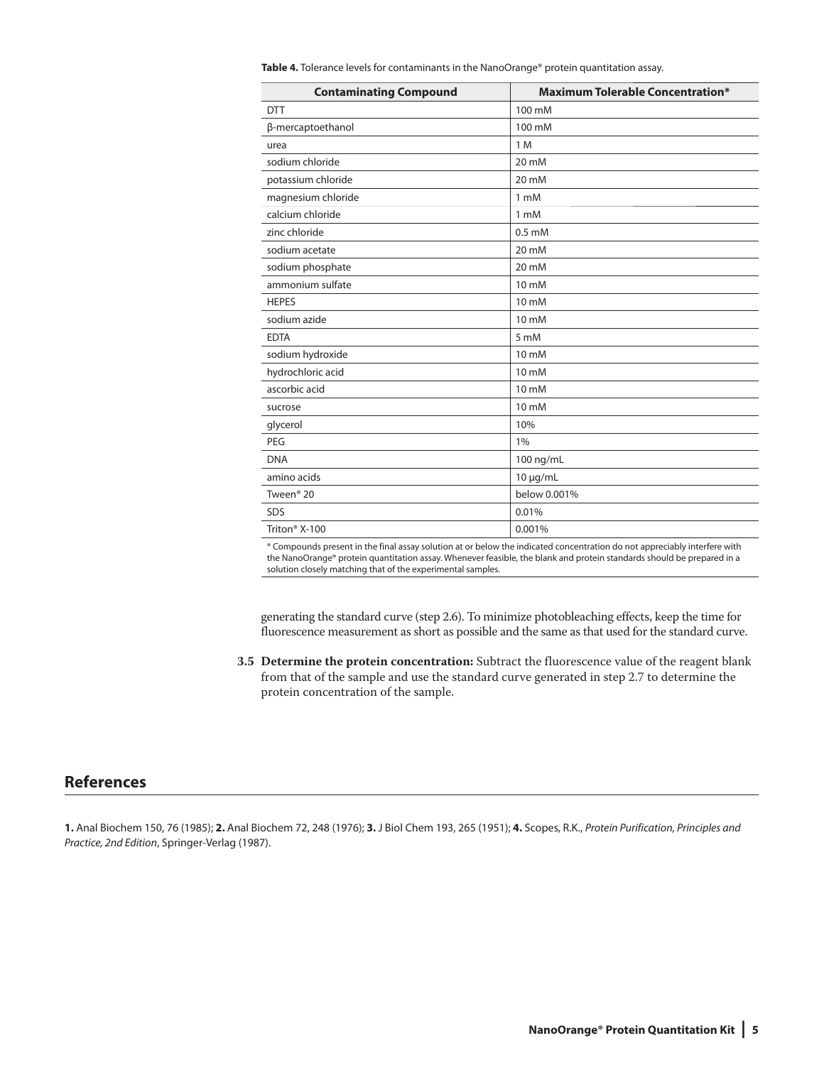| <b>Contaminating Compound</b> | <b>Maximum Tolerable Concentration*</b> |
|-------------------------------|-----------------------------------------|
| <b>DTT</b>                    | 100 mM                                  |
| β-mercaptoethanol             | 100 mM                                  |
| urea                          | 1 M                                     |
| sodium chloride               | 20 mM                                   |
| potassium chloride            | 20 mM                                   |
| magnesium chloride            | 1 mM                                    |
| calcium chloride              | 1 mM                                    |
| zinc chloride                 | $0.5$ mM                                |
| sodium acetate                | 20 mM                                   |
| sodium phosphate              | 20 mM                                   |
| ammonium sulfate              | $10 \text{ mM}$                         |
| <b>HEPES</b>                  | $10 \text{ mM}$                         |
| sodium azide                  | $10 \text{ mM}$                         |
| <b>EDTA</b>                   | 5 mM                                    |
| sodium hydroxide              | 10 mM                                   |
| hydrochloric acid             | 10 mM                                   |
| ascorbic acid                 | $10 \text{ mM}$                         |
| sucrose                       | 10 mM                                   |
| glycerol                      | 10%                                     |
| PEG                           | 1%                                      |
| <b>DNA</b>                    | 100 ng/mL                               |
| amino acids                   | $10 \mu g/mL$                           |
| Tween <sup>®</sup> 20         | below 0.001%                            |
| <b>SDS</b>                    | 0.01%                                   |
| Triton <sup>®</sup> X-100     | 0.001%                                  |

**Table 4.** Tolerance levels for contaminants in the NanoOrange® protein quantitation assay.

\* Compounds present in the final assay solution at or below the indicated concentration do not appreciably interfere with the NanoOrange® protein quantitation assay. Whenever feasible, the blank and protein standards should be prepared in a solution closely matching that of the experimental samples.

generating the standard curve (step 2.6). To minimize photobleaching effects, keep the time for fluorescence measurement as short as possible and the same as that used for the standard curve.

 **3.5 Determine the protein concentration:** Subtract the fluorescence value of the reagent blank from that of the sample and use the standard curve generated in step 2.7 to determine the protein concentration of the sample.

## **References**

**1.** Anal Biochem 150, 76 (1985); **2.** Anal Biochem 72, 248 (1976); **3.** J Biol Chem 193, 265 (1951); **4.** Scopes, R.K., *Protein Purif ication, Principles and Practice, 2nd Edition*, Springer-Verlag (1987).